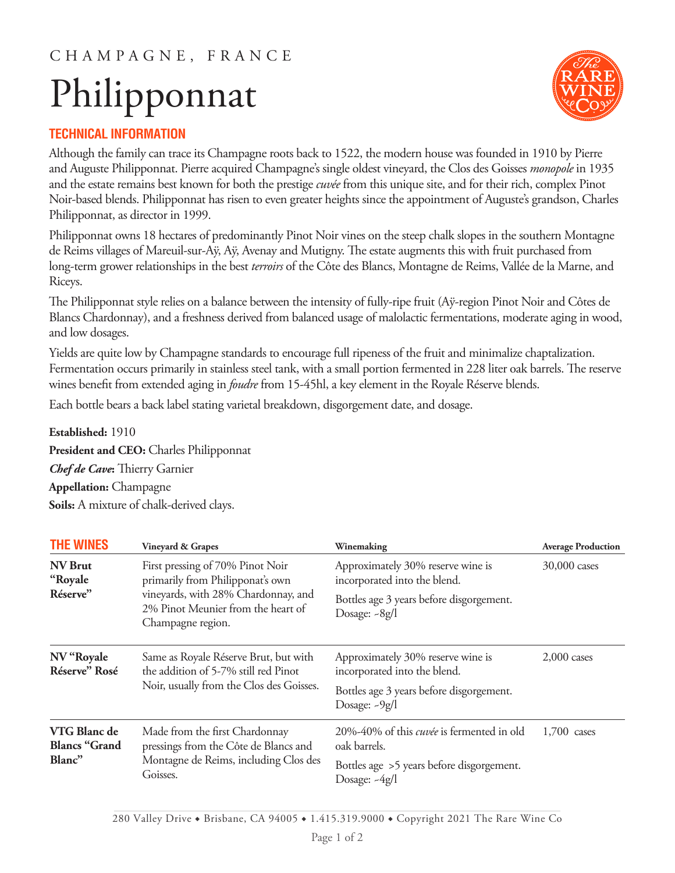### C H A M P A G N E , F R A N C E

# Philipponnat



#### **TECHNICAL INFORMATION**

Although the family can trace its Champagne roots back to 1522, the modern house was founded in 1910 by Pierre and Auguste Philipponnat. Pierre acquired Champagne's single oldest vineyard, the Clos des Goisses *monopole* in 1935 and the estate remains best known for both the prestige *cuvée* from this unique site, and for their rich, complex Pinot Noir-based blends. Philipponnat has risen to even greater heights since the appointment of Auguste's grandson, Charles Philipponnat, as director in 1999.

Philipponnat owns 18 hectares of predominantly Pinot Noir vines on the steep chalk slopes in the southern Montagne de Reims villages of Mareuil-sur-Aÿ, Aÿ, Avenay and Mutigny. The estate augments this with fruit purchased from long-term grower relationships in the best *terroirs* of the Côte des Blancs, Montagne de Reims, Vallée de la Marne, and Riceys.

The Philipponnat style relies on a balance between the intensity of fully-ripe fruit (Aÿ-region Pinot Noir and Côtes de Blancs Chardonnay), and a freshness derived from balanced usage of malolactic fermentations, moderate aging in wood, and low dosages.

Yields are quite low by Champagne standards to encourage full ripeness of the fruit and minimalize chaptalization. Fermentation occurs primarily in stainless steel tank, with a small portion fermented in 228 liter oak barrels. The reserve wines benefit from extended aging in *foudre* from 15-45hl, a key element in the Royale Réserve blends.

Each bottle bears a back label stating varietal breakdown, disgorgement date, and dosage.

#### **Established:** 1910

**President and CEO:** Charles Philipponnat *Chef de Cave***:** Thierry Garnier **Appellation:** Champagne **Soils:** A mixture of chalk-derived clays.

| <b>THE WINES</b>                               | <b>Vineyard &amp; Grapes</b>                                                                                                                                           | Winemaking                                                        | <b>Average Production</b> |
|------------------------------------------------|------------------------------------------------------------------------------------------------------------------------------------------------------------------------|-------------------------------------------------------------------|---------------------------|
| <b>NV Brut</b><br>"Royale"                     | First pressing of 70% Pinot Noir<br>primarily from Philipponat's own<br>vineyards, with 28% Chardonnay, and<br>2% Pinot Meunier from the heart of<br>Champagne region. | Approximately 30% reserve wine is<br>incorporated into the blend. | 30,000 cases              |
| Réserve"                                       |                                                                                                                                                                        | Bottles age 3 years before disgorgement.<br>Dosage: ~ 8g/l        |                           |
| NV "Royale<br>Réserve" Rosé                    | Same as Royale Réserve Brut, but with<br>the addition of 5-7% still red Pinot<br>Noir, usually from the Clos des Goisses.                                              | Approximately 30% reserve wine is<br>incorporated into the blend. | $2,000$ cases             |
|                                                |                                                                                                                                                                        | Bottles age 3 years before disgorgement.<br>Dosage: ~9g/l         |                           |
| VTG Blanc de<br><b>Blancs "Grand</b><br>Blanc" | Made from the first Chardonnay<br>pressings from the Côte de Blancs and<br>Montagne de Reims, including Clos des<br>Goisses.                                           | 20%-40% of this <i>cuvée</i> is fermented in old<br>oak barrels.  | $1,700$ cases             |
|                                                |                                                                                                                                                                        | Bottles age >5 years before disgorgement.<br>Dosage: -4g/l        |                           |